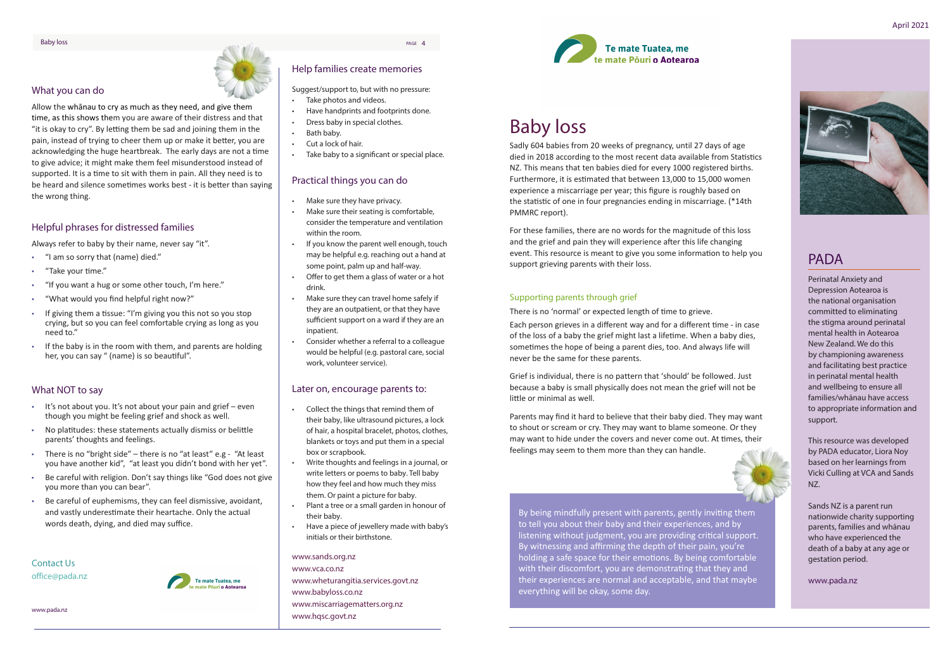## PADA

Perinatal Anxiety and Depression Aotearoa is the national organisation committed to eliminating the stigma around perinatal mental health in Aotearoa New Zealand. We do this by championing awareness and facilitating best practice in perinatal mental health and wellbeing to ensure all families/whānau have access to appropriate information and support.

This resource was developed by PADA educator, Liora Noy based on her learnings from Vicki Culling at VCA and Sands NZ.

Sands NZ is a parent run nationwide charity supporting parents, families and whānau who have experienced the death of a baby at any age or gestation period.

www.pada.nz

### What you can do

Allow the whānau to cry as much as they need, and give them time, as this shows them you are aware of their distress and that "it is okay to cry". By letting them be sad and joining them in the pain, instead of trying to cheer them up or make it better, you are acknowledging the huge heartbreak. The early days are not a time to give advice; it might make them feel misunderstood instead of supported. It is a time to sit with them in pain. All they need is to be heard and silence sometimes works best - it is better than saying the wrong thing.

## Helpful phrases for distressed families

Always refer to baby by their name, never say "it".

- "I am so sorry that (name) died."
- "Take your time."
- "If you want a hug or some other touch, I'm here."
- "What would you find helpful right now?"
- If giving them a tissue: "I'm giving you this not so you stop crying, but so you can feel comfortable crying as long as you need to."
- If the baby is in the room with them, and parents are holding her, you can say " (name) is so beautiful".

### What NOT to say

- It's not about you. It's not about your pain and grief even though you might be feeling grief and shock as well.
- No platitudes: these statements actually dismiss or belittle parents' thoughts and feelings.
- There is no "bright side" there is no "at least" e.g "At least you have another kid", "at least you didn't bond with her yet".
- Be careful with religion. Don't say things like "God does not give you more than you can bear".
- Be careful of euphemisms, they can feel dismissive, avoidant, and vastly underestimate their heartache. Only the actual words death, dying, and died may suffice.



### Contact Us office@pada.nz

www.pada.nz

# Baby loss

Sadly 604 babies from 20 weeks of pregnancy, until 27 days of age died in 2018 according to the most recent data available from Statistics NZ. This means that ten babies died for every 1000 registered births. Furthermore, it is estimated that between 13,000 to 15,000 women experience a miscarriage per year; this figure is roughly based on the statistic of one in four pregnancies ending in miscarriage. (\*14th PMMRC report).

For these families, there are no words for the magnitude of this loss and the grief and pain they will experience after this life changing event. This resource is meant to give you some information to help you support grieving parents with their loss.

### Supporting parents through grief

There is no 'normal' or expected length of time to grieve.

Each person grieves in a different way and for a different time - in case of the loss of a baby the grief might last a lifetime. When a baby dies, sometimes the hope of being a parent dies, too. And always life will never be the same for these parents.

Grief is individual, there is no pattern that 'should' be followed. Just because a baby is small physically does not mean the grief will not be little or minimal as well.

Parents may find it hard to believe that their baby died. They may want to shout or scream or cry. They may want to blame someone. Or they may want to hide under the covers and never come out. At times, their feelings may seem to them more than they can handle.

### www.sands.org.nz

www.vca.co.nz www.wheturangitia.services.govt.nz www.babyloss.co.nz www.miscarriagematters.org.nz www.hqsc.govt.nz

By being mindfully present with parents, gently inviting them to tell you about their baby and their experiences, and by listening without judgment, you are providing critical support. By witnessing and affirming the depth of their pain, you're holding a safe space for their emotions. By being comfortable with their discomfort, you are demonstrating that they and their experiences are normal and acceptable, and that maybe everything will be okay, some day.



## Help families create memories

Suggest/support to, but with no pressure:

- Take photos and videos.
- Have handprints and footprints done.
- Dress baby in special clothes.
- Bath baby.
- Cut a lock of hair.
- Take baby to a significant or special place.

### Practical things you can do

- Make sure they have privacy.
- Make sure their seating is comfortable, consider the temperature and ventilation within the room.
- If you know the parent well enough, touch may be helpful e.g. reaching out a hand at some point, palm up and half-way.
- Offer to get them a glass of water or a hot drink.
- Make sure they can travel home safely if they are an outpatient, or that they have sufficient support on a ward if they are an inpatient.
- Consider whether a referral to a colleague would be helpful (e.g. pastoral care, social work, volunteer service).

### Later on, encourage parents to:

- Collect the things that remind them of their baby, like ultrasound pictures, a lock of hair, a hospital bracelet, photos, clothes, blankets or toys and put them in a special box or scrapbook.
- Write thoughts and feelings in a journal, or write letters or poems to baby. Tell baby how they feel and how much they miss them. Or paint a picture for baby.
- Plant a tree or a small garden in honour of their baby.
- Have a piece of jewellery made with baby's initials or their birthstone.